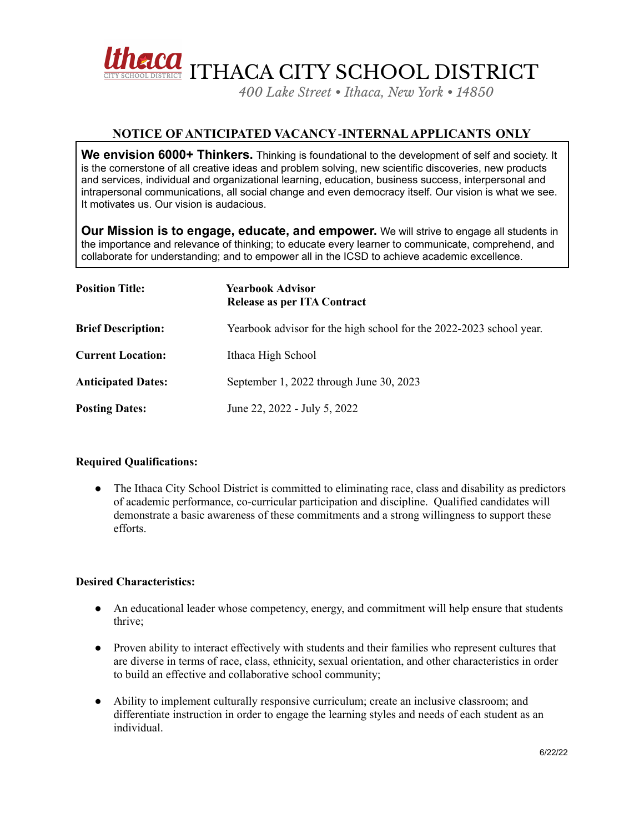

*400 Lake Street • Ithaca, New York • 14850*

## **NOTICE OF ANTICIPATED VACANCY**-**INTERNALAPPLICANTS ONLY**

**We envision 6000+ Thinkers.** Thinking is foundational to the development of self and society. It is the cornerstone of all creative ideas and problem solving, new scientific discoveries, new products and services, individual and organizational learning, education, business success, interpersonal and intrapersonal communications, all social change and even democracy itself. Our vision is what we see. It motivates us. Our vision is audacious.

**Our Mission is to engage, educate, and empower.** We will strive to engage all students in the importance and relevance of thinking; to educate every learner to communicate, comprehend, and collaborate for understanding; and to empower all in the ICSD to achieve academic excellence.

| <b>Position Title:</b>    | <b>Yearbook Advisor</b><br>Release as per ITA Contract              |
|---------------------------|---------------------------------------------------------------------|
| <b>Brief Description:</b> | Yearbook advisor for the high school for the 2022-2023 school year. |
| <b>Current Location:</b>  | Ithaca High School                                                  |
| <b>Anticipated Dates:</b> | September 1, 2022 through June 30, 2023                             |
| <b>Posting Dates:</b>     | June 22, 2022 - July 5, 2022                                        |

## **Required Qualifications:**

• The Ithaca City School District is committed to eliminating race, class and disability as predictors of academic performance, co-curricular participation and discipline. Qualified candidates will demonstrate a basic awareness of these commitments and a strong willingness to support these efforts.

## **Desired Characteristics:**

- An educational leader whose competency, energy, and commitment will help ensure that students thrive;
- Proven ability to interact effectively with students and their families who represent cultures that are diverse in terms of race, class, ethnicity, sexual orientation, and other characteristics in order to build an effective and collaborative school community;
- Ability to implement culturally responsive curriculum; create an inclusive classroom; and differentiate instruction in order to engage the learning styles and needs of each student as an individual.